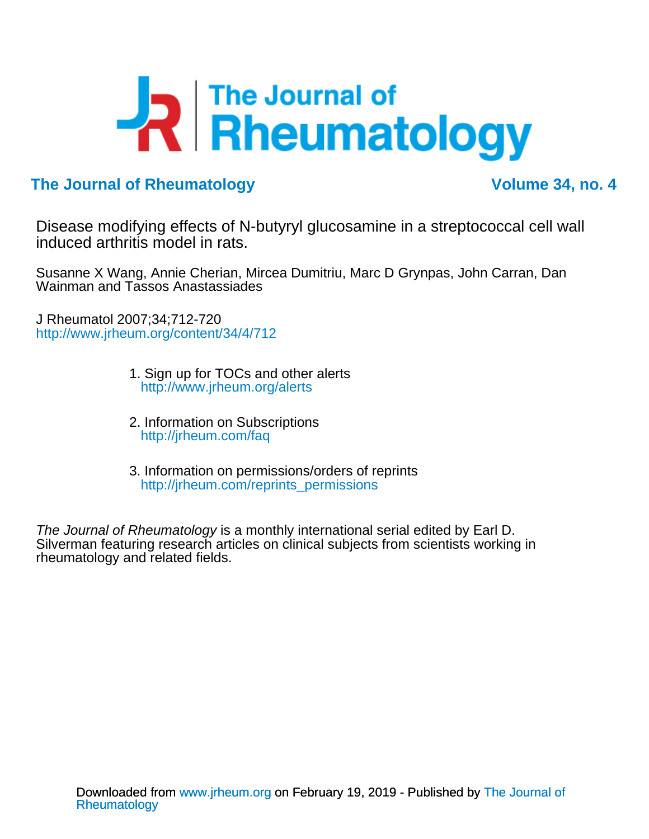# R Fine Journal of

### **The Journal of Rheumatology Volume 34, no. 4**

induced arthritis model in rats. Disease modifying effects of N-butyryl glucosamine in a streptococcal cell wall

Wainman and Tassos Anastassiades Susanne X Wang, Annie Cherian, Mircea Dumitriu, Marc D Grynpas, John Carran, Dan

<http://www.jrheum.org/content/34/4/712> J Rheumatol 2007;34;712-720

- [http://www.jrheum.org/alerts](http://www.jrheum.org/alerts/) 1. Sign up for TOCs and other alerts
- <http://jrheum.com/faq> 2. Information on Subscriptions
- [http://jrheum.com/reprints\\_permissions](http://jrheum.com/reprints_permissions) 3. Information on permissions/orders of reprints

rheumatology and related fields. Silverman featuring research articles on clinical subjects from scientists working in The Journal of Rheumatology is a monthly international serial edited by Earl D.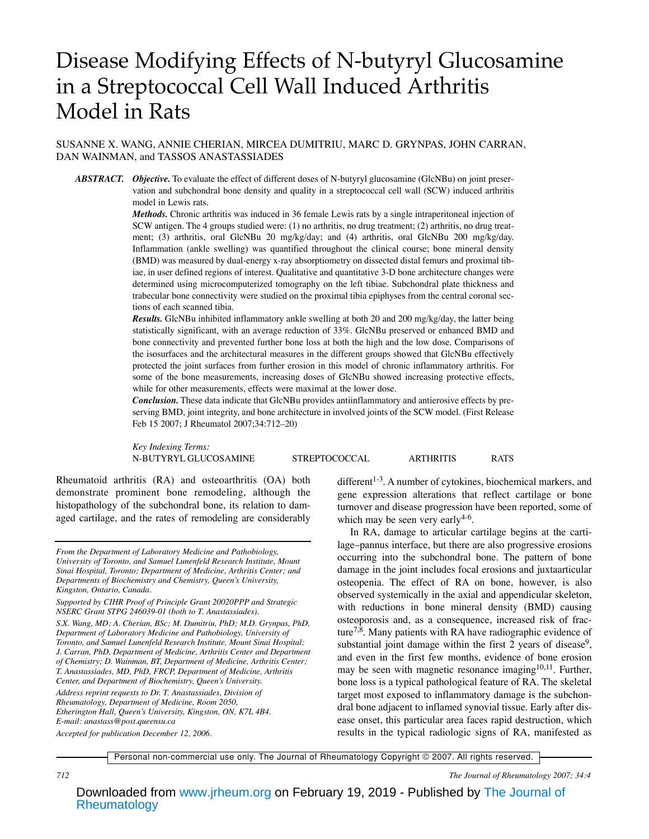## Disease Modifying Effects of N-butyryl Glucosamine in a Streptococcal Cell Wall Induced Arthritis Model in Rats

SUSANNE X. WANG, ANNIE CHERIAN, MIRCEA DUMITRIU, MARC D. GRYNPAS, JOHN CARRAN, DAN WAINMAN, and TASSOS ANASTASSIADES

*ABSTRACT. Objective.* To evaluate the effect of different doses of N-butyryl glucosamine (GlcNBu) on joint preservation and subchondral bone density and quality in a streptococcal cell wall (SCW) induced arthritis model in Lewis rats.

> *Methods.* Chronic arthritis was induced in 36 female Lewis rats by a single intraperitoneal injection of SCW antigen. The 4 groups studied were: (1) no arthritis, no drug treatment; (2) arthritis, no drug treatment; (3) arthritis, oral GlcNBu 20 mg/kg/day; and (4) arthritis, oral GlcNBu 200 mg/kg/day. Inflammation (ankle swelling) was quantified throughout the clinical course; bone mineral density (BMD) was measured by dual-energy x-ray absorptiometry on dissected distal femurs and proximal tibiae, in user defined regions of interest. Qualitative and quantitative 3-D bone architecture changes were determined using microcomputerized tomography on the left tibiae. Subchondral plate thickness and trabecular bone connectivity were studied on the proximal tibia epiphyses from the central coronal sections of each scanned tibia.

> *Results.* GlcNBu inhibited inflammatory ankle swelling at both 20 and 200 mg/kg/day, the latter being statistically significant, with an average reduction of 33%. GlcNBu preserved or enhanced BMD and bone connectivity and prevented further bone loss at both the high and the low dose. Comparisons of the isosurfaces and the architectural measures in the different groups showed that GlcNBu effectively protected the joint surfaces from further erosion in this model of chronic inflammatory arthritis. For some of the bone measurements, increasing doses of GlcNBu showed increasing protective effects, while for other measurements, effects were maximal at the lower dose.

> *Conclusion.* These data indicate that GlcNBu provides antiinflammatory and antierosive effects by preserving BMD, joint integrity, and bone architecture in involved joints of the SCW model. (First Release Feb 15 2007; J Rheumatol 2007;34:712–20)

> *Key Indexing Terms:* N-BUTYRYL GLUCOSAMINE STREPTOCOCCAL ARTHRITIS RATS

Rheumatoid arthritis (RA) and osteoarthritis (OA) both demonstrate prominent bone remodeling, although the histopathology of the subchondral bone, its relation to damaged cartilage, and the rates of remodeling are considerably

*Address reprint requests to Dr. T. Anastassiades, Division of Rheumatology, Department of Medicine, Room 2050, Etherington Hall, Queen's University, Kingston, ON, K7L 4B4. E-mail: anastass@post.queensu.ca*

*Accepted for publication December 12, 2006.*

different<sup>1-3</sup>. A number of cytokines, biochemical markers, and gene expression alterations that reflect cartilage or bone turnover and disease progression have been reported, some of which may be seen very early  $4-6$ .

In RA, damage to articular cartilage begins at the cartilage–pannus interface, but there are also progressive erosions occurring into the subchondral bone. The pattern of bone damage in the joint includes focal erosions and juxtaarticular osteopenia. The effect of RA on bone, however, is also observed systemically in the axial and appendicular skeleton, with reductions in bone mineral density (BMD) causing osteoporosis and, as a consequence, increased risk of fracture7,8. Many patients with RA have radiographic evidence of substantial joint damage within the first 2 years of disease<sup>9</sup>, and even in the first few months, evidence of bone erosion may be seen with magnetic resonance imaging $10,11$ . Further, bone loss is a typical pathological feature of RA. The skeletal target most exposed to inflammatory damage is the subchondral bone adjacent to inflamed synovial tissue. Early after disease onset, this particular area faces rapid destruction, which results in the typical radiologic signs of RA, manifested as

Personal non-commercial use only. The Journal of Rheumatology Copyright © 2007. All rights reserved.

*712 The Journal of Rheumatology 2007; 34:4*

*From the Department of Laboratory Medicine and Pathobiology, University of Toronto, and Samuel Lunenfeld Research Institute, Mount Sinai Hospital, Toronto; Department of Medicine, Arthritis Center; and Departments of Biochemistry and Chemistry, Queen's University, Kingston, Ontario, Canada.*

*Supported by CIHR Proof of Principle Grant 20020PPP and Strategic NSERC Grant STPG 246039-01 (both to T. Anastassiades).*

*S.X. Wang, MD; A. Cherian, BSc; M. Dumitriu, PhD; M.D. Grynpas, PhD, Department of Laboratory Medicine and Pathobiology, University of Toronto, and Samuel Lunenfeld Research Institute, Mount Sinai Hospital; J. Carran, PhD, Department of Medicine, Arthritis Center and Department of Chemistry; D. Wainman, BT, Department of Medicine, Arthritis Center; T. Anastassiades, MD, PhD, FRCP, Department of Medicine, Arthritis Center, and Department of Biochemistry, Queen's University.*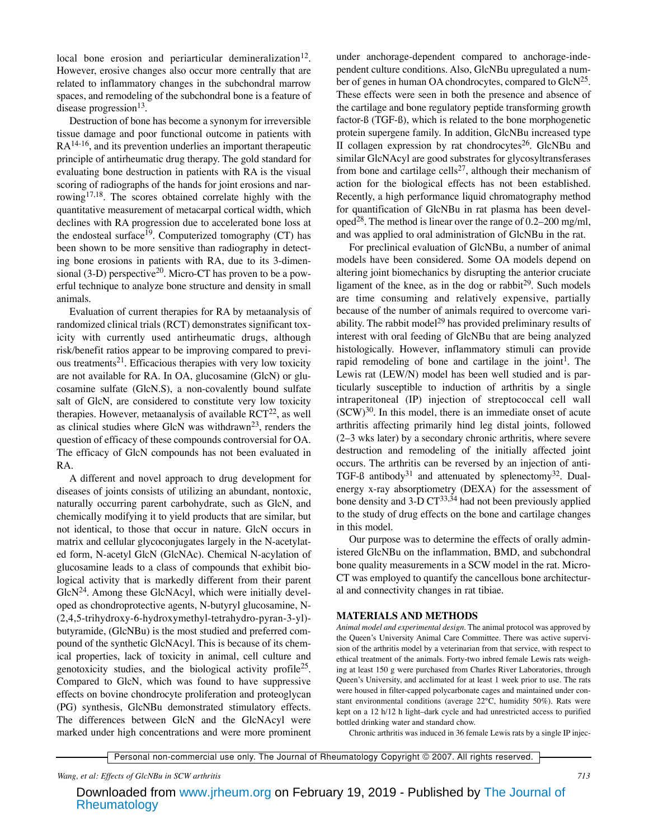local bone erosion and periarticular demineralization<sup>12</sup>. However, erosive changes also occur more centrally that are related to inflammatory changes in the subchondral marrow spaces, and remodeling of the subchondral bone is a feature of disease progression $^{13}$ .

Destruction of bone has become a synonym for irreversible tissue damage and poor functional outcome in patients with  $RA^{14-16}$ , and its prevention underlies an important therapeutic principle of antirheumatic drug therapy. The gold standard for evaluating bone destruction in patients with RA is the visual scoring of radiographs of the hands for joint erosions and narrowing<sup>17,18</sup>. The scores obtained correlate highly with the quantitative measurement of metacarpal cortical width, which declines with RA progression due to accelerated bone loss at the endosteal surface<sup>19</sup>. Computerized tomography (CT) has been shown to be more sensitive than radiography in detecting bone erosions in patients with RA, due to its 3-dimensional (3-D) perspective<sup>20</sup>. Micro-CT has proven to be a powerful technique to analyze bone structure and density in small animals.

Evaluation of current therapies for RA by metaanalysis of randomized clinical trials (RCT) demonstrates significant toxicity with currently used antirheumatic drugs, although risk/benefit ratios appear to be improving compared to previous treatments<sup>21</sup>. Efficacious therapies with very low toxicity are not available for RA. In OA, glucosamine (GlcN) or glucosamine sulfate (GlcN.S), a non-covalently bound sulfate salt of GlcN, are considered to constitute very low toxicity therapies. However, metaanalysis of available  $RCT^{22}$ , as well as clinical studies where GlcN was withdrawn<sup>23</sup>, renders the question of efficacy of these compounds controversial for OA. The efficacy of GlcN compounds has not been evaluated in RA.

A different and novel approach to drug development for diseases of joints consists of utilizing an abundant, nontoxic, naturally occurring parent carbohydrate, such as GlcN, and chemically modifying it to yield products that are similar, but not identical, to those that occur in nature. GlcN occurs in matrix and cellular glycoconjugates largely in the N-acetylated form, N-acetyl GlcN (GlcNAc). Chemical N-acylation of glucosamine leads to a class of compounds that exhibit biological activity that is markedly different from their parent  $GlcN<sup>24</sup>$ . Among these GlcNAcyl, which were initially developed as chondroprotective agents, N-butyryl glucosamine, N- (2,4,5-trihydroxy-6-hydroxymethyl-tetrahydro-pyran-3-yl) butyramide, (GlcNBu) is the most studied and preferred compound of the synthetic GlcNAcyl. This is because of its chemical properties, lack of toxicity in animal, cell culture and genotoxicity studies, and the biological activity profile<sup>25</sup>. Compared to GlcN, which was found to have suppressive effects on bovine chondrocyte proliferation and proteoglycan (PG) synthesis, GlcNBu demonstrated stimulatory effects. The differences between GlcN and the GlcNAcyl were marked under high concentrations and were more prominent

under anchorage-dependent compared to anchorage-independent culture conditions. Also, GlcNBu upregulated a number of genes in human OA chondrocytes, compared to GlcN<sup>25</sup>. These effects were seen in both the presence and absence of the cartilage and bone regulatory peptide transforming growth factor-ß (TGF-ß), which is related to the bone morphogenetic protein supergene family. In addition, GlcNBu increased type II collagen expression by rat chondrocytes<sup>26</sup>. GlcNBu and similar GlcNAcyl are good substrates for glycosyltransferases from bone and cartilage cells<sup>27</sup>, although their mechanism of action for the biological effects has not been established. Recently, a high performance liquid chromatography method for quantification of GlcNBu in rat plasma has been developed<sup>28</sup>. The method is linear over the range of  $0.2-200$  mg/ml, and was applied to oral administration of GlcNBu in the rat.

For preclinical evaluation of GlcNBu, a number of animal models have been considered. Some OA models depend on altering joint biomechanics by disrupting the anterior cruciate ligament of the knee, as in the dog or rabbit $^{29}$ . Such models are time consuming and relatively expensive, partially because of the number of animals required to overcome variability. The rabbit model<sup>29</sup> has provided preliminary results of interest with oral feeding of GlcNBu that are being analyzed histologically. However, inflammatory stimuli can provide rapid remodeling of bone and cartilage in the joint<sup>1</sup>. The Lewis rat (LEW/N) model has been well studied and is particularly susceptible to induction of arthritis by a single intraperitoneal (IP) injection of streptococcal cell wall  $(SCW)^{30}$ . In this model, there is an immediate onset of acute arthritis affecting primarily hind leg distal joints, followed (2–3 wks later) by a secondary chronic arthritis, where severe destruction and remodeling of the initially affected joint occurs. The arthritis can be reversed by an injection of anti-TGF-ß antibody<sup>31</sup> and attenuated by splenectomy<sup>32</sup>. Dualenergy x-ray absorptiometry (DEXA) for the assessment of bone density and  $3-D CT^{33,34}$  had not been previously applied to the study of drug effects on the bone and cartilage changes in this model.

Our purpose was to determine the effects of orally administered GlcNBu on the inflammation, BMD, and subchondral bone quality measurements in a SCW model in the rat. Micro-CT was employed to quantify the cancellous bone architectural and connectivity changes in rat tibiae.

#### **MATERIALS AND METHODS**

*Animal model and experimental design.* The animal protocol was approved by the Queen's University Animal Care Committee. There was active supervision of the arthritis model by a veterinarian from that service, with respect to ethical treatment of the animals. Forty-two inbred female Lewis rats weighing at least 150 g were purchased from Charles River Laboratories, through Queen's University, and acclimated for at least 1 week prior to use. The rats were housed in filter-capped polycarbonate cages and maintained under constant environmental conditions (average 22°C, humidity 50%). Rats were kept on a 12 h/12 h light–dark cycle and had unrestricted access to purified bottled drinking water and standard chow.

Chronic arthritis was induced in 36 female Lewis rats by a single IP injec-

Personal non-commercial use only. The Journal of Rheumatology Copyright © 2007. All rights reserved.

*Wang, et al: Effects of GlcNBu in SCW arthritis 713*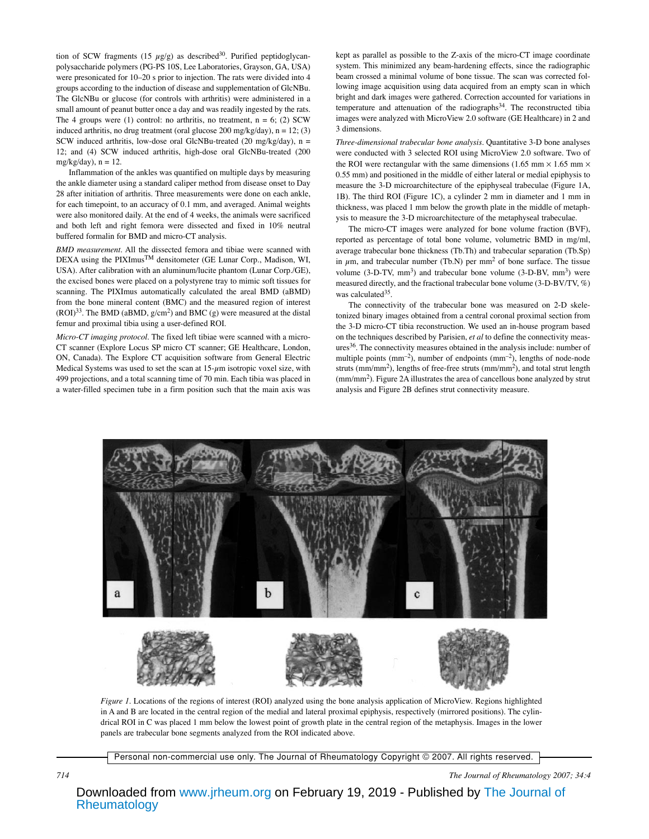tion of SCW fragments (15  $\mu$ g/g) as described<sup>30</sup>. Purified peptidoglycanpolysaccharide polymers (PG-PS 10S, Lee Laboratories, Grayson, GA, USA) were presonicated for 10–20 s prior to injection. The rats were divided into 4 groups according to the induction of disease and supplementation of GlcNBu. The GlcNBu or glucose (for controls with arthritis) were administered in a small amount of peanut butter once a day and was readily ingested by the rats. The 4 groups were (1) control: no arthritis, no treatment,  $n = 6$ ; (2) SCW induced arthritis, no drug treatment (oral glucose 200 mg/kg/day),  $n = 12$ ; (3) SCW induced arthritis, low-dose oral GlcNBu-treated (20 mg/kg/day), n = 12; and (4) SCW induced arthritis, high-dose oral GlcNBu-treated (200 mg/kg/day),  $n = 12$ .

Inflammation of the ankles was quantified on multiple days by measuring the ankle diameter using a standard caliper method from disease onset to Day 28 after initiation of arthritis. Three measurements were done on each ankle, for each timepoint, to an accuracy of 0.1 mm, and averaged. Animal weights were also monitored daily. At the end of 4 weeks, the animals were sacrificed and both left and right femora were dissected and fixed in 10% neutral buffered formalin for BMD and micro-CT analysis.

*BMD measurement.* All the dissected femora and tibiae were scanned with DEXA using the PIXImus<sup>TM</sup> densitometer (GE Lunar Corp., Madison, WI, USA). After calibration with an aluminum/lucite phantom (Lunar Corp./GE), the excised bones were placed on a polystyrene tray to mimic soft tissues for scanning. The PIXImus automatically calculated the areal BMD (aBMD) from the bone mineral content (BMC) and the measured region of interest  $(ROI)^{33}$ . The BMD (aBMD,  $g/cm^2$ ) and BMC (g) were measured at the distal femur and proximal tibia using a user-defined ROI.

*Micro-CT imaging protocol.* The fixed left tibiae were scanned with a micro-CT scanner (Explore Locus SP micro CT scanner; GE Healthcare, London, ON, Canada). The Explore CT acquisition software from General Electric Medical Systems was used to set the scan at  $15-\mu m$  isotropic voxel size, with 499 projections, and a total scanning time of 70 min. Each tibia was placed in a water-filled specimen tube in a firm position such that the main axis was kept as parallel as possible to the Z-axis of the micro-CT image coordinate system. This minimized any beam-hardening effects, since the radiographic beam crossed a minimal volume of bone tissue. The scan was corrected following image acquisition using data acquired from an empty scan in which bright and dark images were gathered. Correction accounted for variations in temperature and attenuation of the radiographs<sup>34</sup>. The reconstructed tibia images were analyzed with MicroView 2.0 software (GE Healthcare) in 2 and 3 dimensions.

*Three-dimensional trabecular bone analysis.* Quantitative 3-D bone analyses were conducted with 3 selected ROI using MicroView 2.0 software. Two of the ROI were rectangular with the same dimensions (1.65 mm  $\times$  1.65 mm  $\times$ 0.55 mm) and positioned in the middle of either lateral or medial epiphysis to measure the 3-D microarchitecture of the epiphyseal trabeculae (Figure 1A, 1B). The third ROI (Figure 1C), a cylinder 2 mm in diameter and 1 mm in thickness, was placed 1 mm below the growth plate in the middle of metaphysis to measure the 3-D microarchitecture of the metaphyseal trabeculae.

The micro-CT images were analyzed for bone volume fraction (BVF), reported as percentage of total bone volume, volumetric BMD in mg/ml, average trabecular bone thickness (Tb.Th) and trabecular separation (Tb.Sp) in  $\mu$ m, and trabecular number (Tb.N) per mm<sup>2</sup> of bone surface. The tissue volume  $(3-D-TV, \text{mm}^3)$  and trabecular bone volume  $(3-D-BV, \text{mm}^3)$  were measured directly, and the fractional trabecular bone volume (3-D-BV/TV, %) was calculated $35$ .

The connectivity of the trabecular bone was measured on 2-D skeletonized binary images obtained from a central coronal proximal section from the 3-D micro-CT tibia reconstruction. We used an in-house program based on the techniques described by Parisien, *et al* to define the connectivity measures36. The connectivity measures obtained in the analysis include: number of multiple points  $(mm<sup>-2</sup>)$ , number of endpoints  $(mm<sup>-2</sup>)$ , lengths of node-node struts ( $mm/mm<sup>2</sup>$ ), lengths of free-free struts ( $mm/mm<sup>2</sup>$ ), and total strut length (mm/mm2). Figure 2A illustrates the area of cancellous bone analyzed by strut analysis and Figure 2B defines strut connectivity measure.



*Figure 1.* Locations of the regions of interest (ROI) analyzed using the bone analysis application of MicroView. Regions highlighted in A and B are located in the central region of the medial and lateral proximal epiphysis, respectively (mirrored positions). The cylindrical ROI in C was placed 1 mm below the lowest point of growth plate in the central region of the metaphysis. Images in the lower panels are trabecular bone segments analyzed from the ROI indicated above.

Personal non-commercial use only. The Journal of Rheumatology Copyright © 2007. All rights reserved.

*714 The Journal of Rheumatology 2007; 34:4*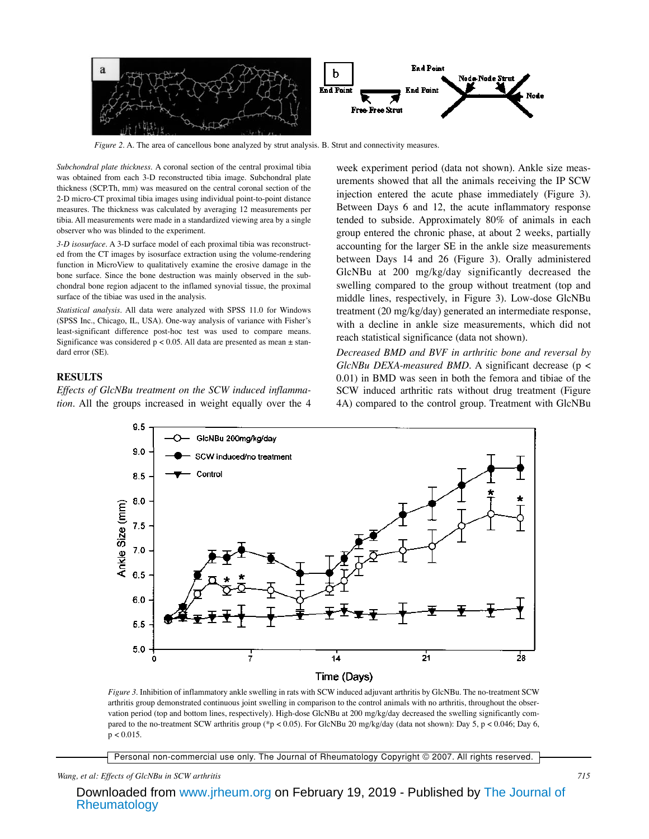

*Figure 2. A.* The area of cancellous bone analyzed by strut analysis. B. Strut and connectivity measures.

*Subchondral plate thickness.* A coronal section of the central proximal tibia was obtained from each 3-D reconstructed tibia image. Subchondral plate thickness (SCP.Th, mm) was measured on the central coronal section of the 2-D micro-CT proximal tibia images using individual point-to-point distance measures. The thickness was calculated by averaging 12 measurements per tibia. All measurements were made in a standardized viewing area by a single observer who was blinded to the experiment.

*3-D isosurface*. A 3-D surface model of each proximal tibia was reconstructed from the CT images by isosurface extraction using the volume-rendering function in MicroView to qualitatively examine the erosive damage in the bone surface. Since the bone destruction was mainly observed in the subchondral bone region adjacent to the inflamed synovial tissue, the proximal surface of the tibiae was used in the analysis.

*Statistical analysis*. All data were analyzed with SPSS 11.0 for Windows (SPSS Inc., Chicago, IL, USA). One-way analysis of variance with Fisher's least-significant difference post-hoc test was used to compare means. Significance was considered  $p < 0.05$ . All data are presented as mean  $\pm$  standard error (SE).

#### **RESULTS**

*Effects of GlcNBu treatment on the SCW induced inflammation.* All the groups increased in weight equally over the 4

week experiment period (data not shown). Ankle size measurements showed that all the animals receiving the IP SCW injection entered the acute phase immediately (Figure 3). Between Days 6 and 12, the acute inflammatory response tended to subside. Approximately 80% of animals in each group entered the chronic phase, at about 2 weeks, partially accounting for the larger SE in the ankle size measurements between Days 14 and 26 (Figure 3). Orally administered GlcNBu at 200 mg/kg/day significantly decreased the swelling compared to the group without treatment (top and middle lines, respectively, in Figure 3). Low-dose GlcNBu treatment (20 mg/kg/day) generated an intermediate response, with a decline in ankle size measurements, which did not reach statistical significance (data not shown).

*Decreased BMD and BVF in arthritic bone and reversal by GlcNBu DEXA-measured BMD.* A significant decrease (p < 0.01) in BMD was seen in both the femora and tibiae of the SCW induced arthritic rats without drug treatment (Figure 4A) compared to the control group. Treatment with GlcNBu



*Figure 3.* Inhibition of inflammatory ankle swelling in rats with SCW induced adjuvant arthritis by GlcNBu. The no-treatment SCW arthritis group demonstrated continuous joint swelling in comparison to the control animals with no arthritis, throughout the observation period (top and bottom lines, respectively). High-dose GlcNBu at 200 mg/kg/day decreased the swelling significantly compared to the no-treatment SCW arthritis group (\*p < 0.05). For GlcNBu 20 mg/kg/day (data not shown): Day 5, p < 0.046; Day 6,  $p < 0.015$ .

Personal non-commercial use only. The Journal of Rheumatology Copyright © 2007. All rights reserved.

#### *Wang, et al: Effects of GlcNBu in SCW arthritis 715*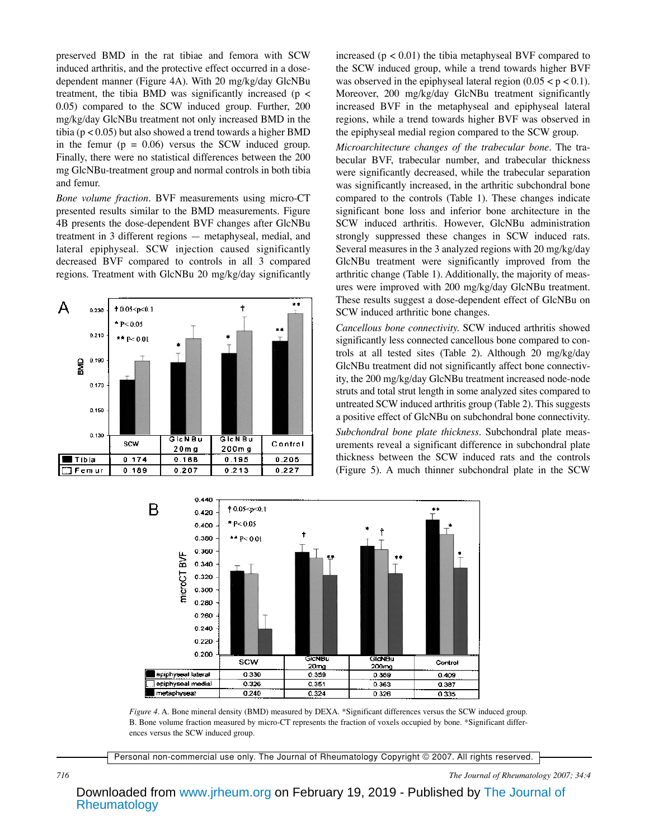preserved BMD in the rat tibiae and femora with SCW induced arthritis, and the protective effect occurred in a dosedependent manner (Figure 4A). With 20 mg/kg/day GlcNBu treatment, the tibia BMD was significantly increased ( $p <$ 0.05) compared to the SCW induced group. Further, 200 mg/kg/day GlcNBu treatment not only increased BMD in the tibia ( $p < 0.05$ ) but also showed a trend towards a higher BMD in the femur  $(p = 0.06)$  versus the SCW induced group. Finally, there were no statistical differences between the 200 mg GlcNBu-treatment group and normal controls in both tibia and femur.

*Bone volume fraction.* BVF measurements using micro-CT presented results similar to the BMD measurements. Figure 4B presents the dose-dependent BVF changes after GlcNBu treatment in 3 different regions — metaphyseal, medial, and lateral epiphyseal. SCW injection caused significantly decreased BVF compared to controls in all 3 compared regions. Treatment with GlcNBu 20 mg/kg/day significantly



increased ( $p < 0.01$ ) the tibia metaphyseal BVF compared to the SCW induced group, while a trend towards higher BVF was observed in the epiphyseal lateral region  $(0.05 < p < 0.1)$ . Moreover, 200 mg/kg/day GlcNBu treatment significantly increased BVF in the metaphyseal and epiphyseal lateral regions, while a trend towards higher BVF was observed in the epiphyseal medial region compared to the SCW group.

*Microarchitecture changes of the trabecular bone*. The trabecular BVF, trabecular number, and trabecular thickness were significantly decreased, while the trabecular separation was significantly increased, in the arthritic subchondral bone compared to the controls (Table 1). These changes indicate significant bone loss and inferior bone architecture in the SCW induced arthritis. However, GlcNBu administration strongly suppressed these changes in SCW induced rats. Several measures in the 3 analyzed regions with 20 mg/kg/day GlcNBu treatment were significantly improved from the arthritic change (Table 1). Additionally, the majority of measures were improved with 200 mg/kg/day GlcNBu treatment. These results suggest a dose-dependent effect of GlcNBu on SCW induced arthritic bone changes.

*Cancellous bone connectivity.* SCW induced arthritis showed significantly less connected cancellous bone compared to controls at all tested sites (Table 2). Although 20 mg/kg/day GlcNBu treatment did not significantly affect bone connectivity, the 200 mg/kg/day GlcNBu treatment increased node-node struts and total strut length in some analyzed sites compared to untreated SCW induced arthritis group (Table 2). This suggests a positive effect of GlcNBu on subchondral bone connectivity. *Subchondral bone plate thickness.* Subchondral plate measurements reveal a significant difference in subchondral plate thickness between the SCW induced rats and the controls (Figure 5). A much thinner subchondral plate in the SCW



*Figure 4.* A. Bone mineral density (BMD) measured by DEXA. \*Significant differences versus the SCW induced group. B. Bone volume fraction measured by micro-CT represents the fraction of voxels occupied by bone. \*Significant differences versus the SCW induced group.

Personal non-commercial use only. The Journal of Rheumatology Copyright © 2007. All rights reserved.

*716 The Journal of Rheumatology 2007; 34:4*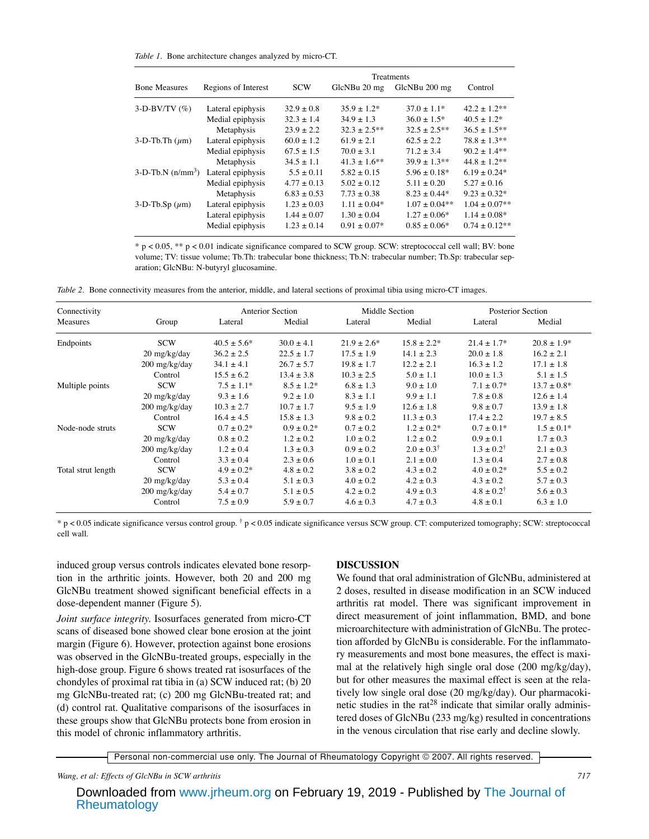*Table 1.* Bone architecture changes analyzed by micro-CT.

|                                 |                     | Treatments     |                 |                 |                   |  |  |
|---------------------------------|---------------------|----------------|-----------------|-----------------|-------------------|--|--|
| <b>Bone Measures</b>            | Regions of Interest | <b>SCW</b>     | GlcNBu 20 mg    | GlcNBu 200 mg   | Control           |  |  |
| $3-D-BV/TV$ (%)                 | Lateral epiphysis   | $32.9 + 0.8$   | $35.9 + 1.2*$   | $37.0 + 1.1*$   | $42.2 \pm 1.2$ ** |  |  |
|                                 | Medial epiphysis    | $32.3 + 1.4$   | $34.9 + 1.3$    | $36.0 + 1.5*$   | $40.5 + 1.2*$     |  |  |
|                                 | Metaphysis          | $23.9 + 2.2$   | $32.3 + 2.5**$  | $32.5 + 2.5**$  | $36.5 + 1.5**$    |  |  |
| $3-D-Th-Th (µm)$                | Lateral epiphysis   | $60.0 + 1.2$   | $61.9 + 2.1$    | $62.5 + 2.2$    | $78.8 + 1.3**$    |  |  |
|                                 | Medial epiphysis    | $67.5 \pm 1.5$ | $70.0 + 3.1$    | $71.2 + 3.4$    | $90.2 \pm 1.4**$  |  |  |
|                                 | Metaphysis          | $34.5 + 1.1$   | $41.3 + 1.6**$  | $39.9 + 1.3**$  | $44.8 + 1.2**$    |  |  |
| $3-D-Tb.N$ (n/mm <sup>3</sup> ) | Lateral epiphysis   | $5.5 + 0.11$   | $5.82 + 0.15$   | $5.96 + 0.18*$  | $6.19 + 0.24*$    |  |  |
|                                 | Medial epiphysis    | $4.77 + 0.13$  | $5.02 + 0.12$   | $5.11 + 0.20$   | $5.27 + 0.16$     |  |  |
|                                 | Metaphysis          | $6.83 + 0.53$  | $7.73 \pm 0.38$ | $8.23 + 0.44*$  | $9.23 + 0.32*$    |  |  |
| $3-D$ -Tb.Sp $(\mu m)$          | Lateral epiphysis   | $1.23 + 0.03$  | $1.11 + 0.04*$  | $1.07 + 0.04**$ | $1.04 + 0.07**$   |  |  |
|                                 | Lateral epiphysis   | $1.44 + 0.07$  | $1.30 + 0.04$   | $1.27 + 0.06*$  | $1.14 + 0.08*$    |  |  |
|                                 | Medial epiphysis    | $1.23 + 0.14$  | $0.91 + 0.07*$  | $0.85 + 0.06*$  | $0.74 + 0.12**$   |  |  |

 $* p < 0.05$ ,  $* p < 0.01$  indicate significance compared to SCW group. SCW: streptococcal cell wall; BV: bone volume; TV: tissue volume; Tb.Th: trabecular bone thickness; Tb.N: trabecular number; Tb.Sp: trabecular separation; GlcNBu: N-butyryl glucosamine.

*Table 2.* Bone connectivity measures from the anterior, middle, and lateral sections of proximal tibia using micro-CT images.

| Connectivity       |                         | <b>Anterior Section</b> |                 | Middle Section   |                         | Posterior Section       |                  |
|--------------------|-------------------------|-------------------------|-----------------|------------------|-------------------------|-------------------------|------------------|
| <b>Measures</b>    | Group                   | Lateral                 | Medial          | Lateral          | Medial                  | Lateral                 | Medial           |
| Endpoints          | <b>SCW</b>              | $40.5 \pm 5.6^*$        | $30.0 \pm 4.1$  | $21.9 \pm 2.6^*$ | $15.8 \pm 2.2^*$        | $21.4 \pm 1.7^*$        | $20.8 \pm 1.9^*$ |
|                    | $20 \text{ mg/kg/day}$  | $36.2 \pm 2.5$          | $22.5 \pm 1.7$  | $17.5 \pm 1.9$   | $14.1 \pm 2.3$          | $20.0 \pm 1.8$          | $16.2 \pm 2.1$   |
|                    | 200 mg/kg/day           | $34.1 \pm 4.1$          | $26.7 \pm 5.7$  | $19.8 \pm 1.7$   | $12.2 \pm 2.1$          | $16.3 \pm 1.2$          | $17.1 \pm 1.8$   |
|                    | Control                 | $15.5 \pm 6.2$          | $13.4 \pm 3.8$  | $10.3 \pm 2.5$   | $5.0 \pm 1.1$           | $10.0 \pm 1.3$          | $5.1 \pm 1.5$    |
| Multiple points    | <b>SCW</b>              | $7.5 \pm 1.1*$          | $8.5 \pm 1.2^*$ | $6.8 \pm 1.3$    | $9.0 \pm 1.0$           | $7.1 \pm 0.7^*$         | $13.7 \pm 0.8^*$ |
|                    | $20 \text{ mg/kg/day}$  | $9.3 \pm 1.6$           | $9.2 \pm 1.0$   | $8.3 \pm 1.1$    | $9.9 \pm 1.1$           | $7.8 \pm 0.8$           | $12.6 \pm 1.4$   |
|                    | 200 mg/kg/day           | $10.3 \pm 2.7$          | $10.7 \pm 1.7$  | $9.5 \pm 1.9$    | $12.6 \pm 1.8$          | $9.8 \pm 0.7$           | $13.9 \pm 1.8$   |
|                    | Control                 | $16.4 \pm 4.5$          | $15.8 \pm 1.3$  | $9.8 \pm 0.2$    | $11.3 \pm 0.3$          | $17.4 \pm 2.2$          | $19.7 \pm 8.5$   |
| Node-node struts   | <b>SCW</b>              | $0.7 \pm 0.2^*$         | $0.9 \pm 0.2^*$ | $0.7 \pm 0.2$    | $1.2 \pm 0.2^*$         | $0.7 \pm 0.1*$          | $1.5 \pm 0.1*$   |
|                    | $20 \text{ mg/kg/day}$  | $0.8 \pm 0.2$           | $1.2 \pm 0.2$   | $1.0 \pm 0.2$    | $1.2 \pm 0.2$           | $0.9 \pm 0.1$           | $1.7 \pm 0.3$    |
|                    | 200 mg/kg/day           | $1.2 \pm 0.4$           | $1.3 \pm 0.3$   | $0.9 \pm 0.2$    | $2.0 \pm 0.3^{\dagger}$ | $1.3 \pm 0.2^{\dagger}$ | $2.1 \pm 0.3$    |
|                    | Control                 | $3.3 \pm 0.4$           | $2.3 \pm 0.6$   | $1.0 \pm 0.1$    | $2.1 \pm 0.0$           | $1.3 \pm 0.4$           | $2.7 \pm 0.8$    |
| Total strut length | <b>SCW</b>              | $4.9 \pm 0.2^*$         | $4.8 \pm 0.2$   | $3.8 \pm 0.2$    | $4.3 \pm 0.2$           | $4.0 \pm 0.2^*$         | $5.5 \pm 0.2$    |
|                    | $20 \text{ mg/kg/day}$  | $5.3 \pm 0.4$           | $5.1 \pm 0.3$   | $4.0 \pm 0.2$    | $4.2 \pm 0.3$           | $4.3 \pm 0.2$           | $5.7 \pm 0.3$    |
|                    | $200 \text{ mg/kg/day}$ | $5.4 \pm 0.7$           | $5.1 \pm 0.5$   | $4.2 \pm 0.2$    | $4.9 \pm 0.3$           | $4.8 \pm 0.2^{\dagger}$ | $5.6 \pm 0.3$    |
|                    | Control                 | $7.5 \pm 0.9$           | $5.9 \pm 0.7$   | $4.6 \pm 0.3$    | $4.7 \pm 0.3$           | $4.8 \pm 0.1$           | $6.3 \pm 1.0$    |

 $*$  p < 0.05 indicate significance versus control group.  $\dagger$  p < 0.05 indicate significance versus SCW group. CT: computerized tomography; SCW: streptococcal cell wall.

induced group versus controls indicates elevated bone resorption in the arthritic joints. However, both 20 and 200 mg GlcNBu treatment showed significant beneficial effects in a dose-dependent manner (Figure 5).

*Joint surface integrity.* Isosurfaces generated from micro-CT scans of diseased bone showed clear bone erosion at the joint margin (Figure 6). However, protection against bone erosions was observed in the GlcNBu-treated groups, especially in the high-dose group. Figure 6 shows treated rat isosurfaces of the chondyles of proximal rat tibia in (a) SCW induced rat; (b) 20 mg GlcNBu-treated rat; (c) 200 mg GlcNBu-treated rat; and (d) control rat. Qualitative comparisons of the isosurfaces in these groups show that GlcNBu protects bone from erosion in this model of chronic inflammatory arthritis.

#### **DISCUSSION**

We found that oral administration of GlcNBu, administered at 2 doses, resulted in disease modification in an SCW induced arthritis rat model. There was significant improvement in direct measurement of joint inflammation, BMD, and bone microarchitecture with administration of GlcNBu. The protection afforded by GlcNBu is considerable. For the inflammatory measurements and most bone measures, the effect is maximal at the relatively high single oral dose (200 mg/kg/day), but for other measures the maximal effect is seen at the relatively low single oral dose (20 mg/kg/day). Our pharmacokinetic studies in the  $rat^{28}$  indicate that similar orally administered doses of GlcNBu (233 mg/kg) resulted in concentrations in the venous circulation that rise early and decline slowly.

Personal non-commercial use only. The Journal of Rheumatology Copyright © 2007. All rights reserved.

*Wang, et al: Effects of GlcNBu in SCW arthritis 717*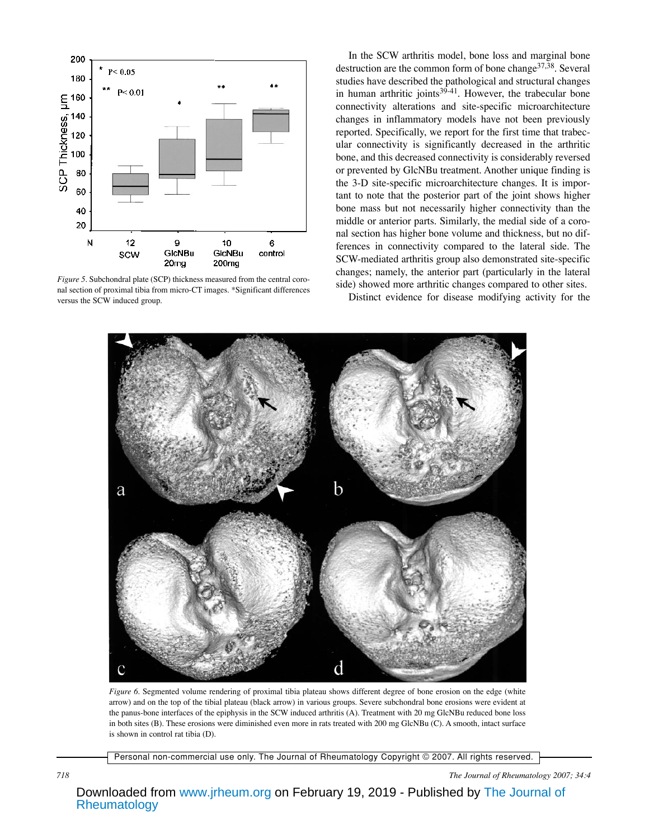

*Figure 5.* Subchondral plate (SCP) thickness measured from the central coronal section of proximal tibia from micro-CT images. \*Significant differences versus the SCW induced group.

In the SCW arthritis model, bone loss and marginal bone destruction are the common form of bone change  $37,38$ . Several studies have described the pathological and structural changes in human arthritic joints $39-41$ . However, the trabecular bone connectivity alterations and site-specific microarchitecture changes in inflammatory models have not been previously reported. Specifically, we report for the first time that trabecular connectivity is significantly decreased in the arthritic bone, and this decreased connectivity is considerably reversed or prevented by GlcNBu treatment. Another unique finding is the 3-D site-specific microarchitecture changes. It is important to note that the posterior part of the joint shows higher bone mass but not necessarily higher connectivity than the middle or anterior parts. Similarly, the medial side of a coronal section has higher bone volume and thickness, but no differences in connectivity compared to the lateral side. The SCW-mediated arthritis group also demonstrated site-specific changes; namely, the anterior part (particularly in the lateral side) showed more arthritic changes compared to other sites.

Distinct evidence for disease modifying activity for the



*Figure 6.* Segmented volume rendering of proximal tibia plateau shows different degree of bone erosion on the edge (white arrow) and on the top of the tibial plateau (black arrow) in various groups. Severe subchondral bone erosions were evident at the panus-bone interfaces of the epiphysis in the SCW induced arthritis (A). Treatment with 20 mg GlcNBu reduced bone loss in both sites (B). These erosions were diminished even more in rats treated with 200 mg GlcNBu (C). A smooth, intact surface is shown in control rat tibia (D).

Personal non-commercial use only. The Journal of Rheumatology Copyright © 2007. All rights reserved.

*718 The Journal of Rheumatology 2007; 34:4*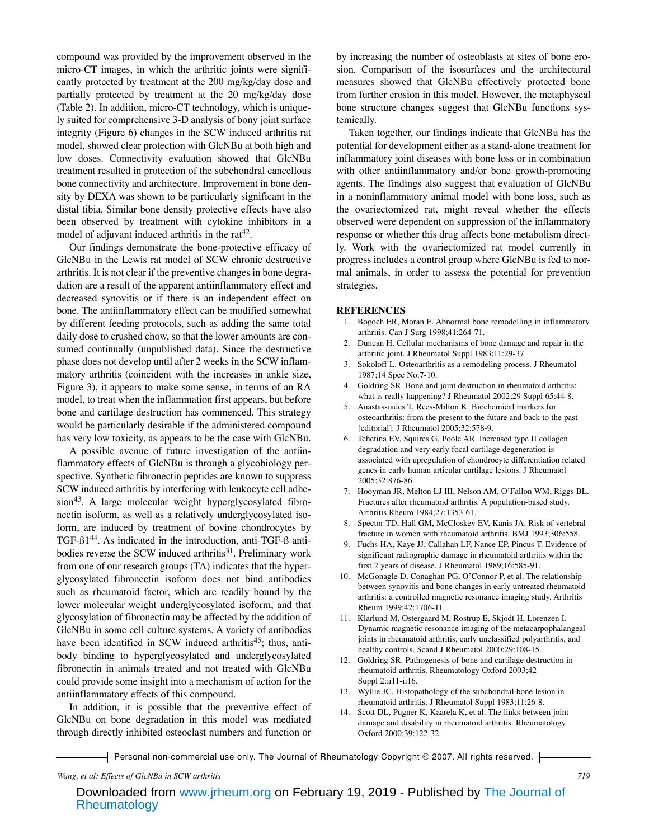compound was provided by the improvement observed in the micro-CT images, in which the arthritic joints were significantly protected by treatment at the 200 mg/kg/day dose and partially protected by treatment at the 20 mg/kg/day dose (Table 2). In addition, micro-CT technology, which is uniquely suited for comprehensive 3-D analysis of bony joint surface integrity (Figure 6) changes in the SCW induced arthritis rat model, showed clear protection with GlcNBu at both high and low doses. Connectivity evaluation showed that GlcNBu treatment resulted in protection of the subchondral cancellous bone connectivity and architecture. Improvement in bone density by DEXA was shown to be particularly significant in the distal tibia. Similar bone density protective effects have also been observed by treatment with cytokine inhibitors in a model of adjuvant induced arthritis in the rat<sup> $42$ </sup>.

Our findings demonstrate the bone-protective efficacy of GlcNBu in the Lewis rat model of SCW chronic destructive arthritis. It is not clear if the preventive changes in bone degradation are a result of the apparent antiinflammatory effect and decreased synovitis or if there is an independent effect on bone. The antiinflammatory effect can be modified somewhat by different feeding protocols, such as adding the same total daily dose to crushed chow, so that the lower amounts are consumed continually (unpublished data). Since the destructive phase does not develop until after 2 weeks in the SCW inflammatory arthritis (coincident with the increases in ankle size, Figure 3), it appears to make some sense, in terms of an RA model, to treat when the inflammation first appears, but before bone and cartilage destruction has commenced. This strategy would be particularly desirable if the administered compound has very low toxicity, as appears to be the case with GlcNBu.

A possible avenue of future investigation of the antiinflammatory effects of GlcNBu is through a glycobiology perspective. Synthetic fibronectin peptides are known to suppress SCW induced arthritis by interfering with leukocyte cell adhe $sion<sup>43</sup>$ . A large molecular weight hyperglycosylated fibronectin isoform, as well as a relatively underglycosylated isoform, are induced by treatment of bovine chondrocytes by TGF-ß144. As indicated in the introduction, anti-TGF-ß antibodies reverse the SCW induced arthritis<sup>31</sup>. Preliminary work from one of our research groups (TA) indicates that the hyperglycosylated fibronectin isoform does not bind antibodies such as rheumatoid factor, which are readily bound by the lower molecular weight underglycosylated isoform, and that glycosylation of fibronectin may be affected by the addition of GlcNBu in some cell culture systems. A variety of antibodies have been identified in SCW induced arthritis<sup>45</sup>; thus, antibody binding to hyperglycosylated and underglycosylated fibronectin in animals treated and not treated with GlcNBu could provide some insight into a mechanism of action for the antiinflammatory effects of this compound.

In addition, it is possible that the preventive effect of GlcNBu on bone degradation in this model was mediated through directly inhibited osteoclast numbers and function or by increasing the number of osteoblasts at sites of bone erosion. Comparison of the isosurfaces and the architectural measures showed that GlcNBu effectively protected bone from further erosion in this model. However, the metaphyseal bone structure changes suggest that GlcNBu functions systemically.

Taken together, our findings indicate that GlcNBu has the potential for development either as a stand-alone treatment for inflammatory joint diseases with bone loss or in combination with other antiinflammatory and/or bone growth-promoting agents. The findings also suggest that evaluation of GlcNBu in a noninflammatory animal model with bone loss, such as the ovariectomized rat, might reveal whether the effects observed were dependent on suppression of the inflammatory response or whether this drug affects bone metabolism directly. Work with the ovariectomized rat model currently in progress includes a control group where GlcNBu is fed to normal animals, in order to assess the potential for prevention strategies.

#### **REFERENCES**

- 1. Bogoch ER, Moran E. Abnormal bone remodelling in inflammatory arthritis. Can J Surg 1998;41:264-71.
- 2. Duncan H. Cellular mechanisms of bone damage and repair in the arthritic joint. J Rheumatol Suppl 1983;11:29-37.
- 3. Sokoloff L. Osteoarthritis as a remodeling process. J Rheumatol 1987;14 Spec No:7-10.
- Goldring SR. Bone and joint destruction in rheumatoid arthritis: what is really happening? J Rheumatol 2002;29 Suppl 65:44-8.
- 5. Anastassiades T, Rees-Milton K. Biochemical markers for osteoarthritis: from the present to the future and back to the past [editorial]. J Rheumatol 2005;32:578-9.
- 6. Tchetina EV, Squires G, Poole AR. Increased type II collagen degradation and very early focal cartilage degeneration is associated with upregulation of chondrocyte differentiation related genes in early human articular cartilage lesions. J Rheumatol 2005;32:876-86.
- 7. Hooyman JR, Melton LJ III, Nelson AM, O'Fallon WM, Riggs BL. Fractures after rheumatoid arthritis. A population-based study. Arthritis Rheum 1984;27:1353-61.
- 8. Spector TD, Hall GM, McCloskey EV, Kanis JA. Risk of vertebral fracture in women with rheumatoid arthritis. BMJ 1993;306:558.
- 9. Fuchs HA, Kaye JJ, Callahan LF, Nance EP, Pincus T. Evidence of significant radiographic damage in rheumatoid arthritis within the first 2 years of disease. J Rheumatol 1989;16:585-91.
- 10. McGonagle D, Conaghan PG, O'Connor P, et al. The relationship between synovitis and bone changes in early untreated rheumatoid arthritis: a controlled magnetic resonance imaging study. Arthritis Rheum 1999;42:1706-11.
- 11. Klarlund M, Ostergaard M, Rostrup E, Skjodt H, Lorenzen I. Dynamic magnetic resonance imaging of the metacarpophalangeal joints in rheumatoid arthritis, early unclassified polyarthritis, and healthy controls. Scand J Rheumatol 2000;29:108-15.
- 12. Goldring SR. Pathogenesis of bone and cartilage destruction in rheumatoid arthritis. Rheumatology Oxford 2003;42 Suppl 2:ii11-ii16.
- 13. Wyllie JC. Histopathology of the subchondral bone lesion in rheumatoid arthritis. J Rheumatol Suppl 1983;11:26-8.
- 14. Scott DL, Pugner K, Kaarela K, et al. The links between joint damage and disability in rheumatoid arthritis. Rheumatology Oxford 2000;39:122-32.

Personal non-commercial use only. The Journal of Rheumatology Copyright © 2007. All rights reserved.

*Wang, et al: Effects of GlcNBu in SCW arthritis 719*